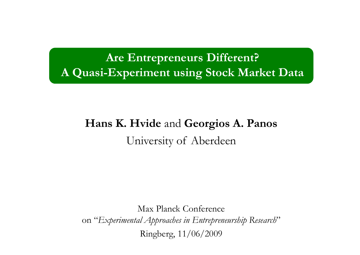### **Are Entrepreneurs Different?**  A Quasi-Experiment using Stock Market Data

### **Hans K. Hvide** and **Geor gios A. Panos** University of Aberdeen

Max Planck Conference on "*Experimental Approaches in Entrepreneurship Research* "Ringberg, 11/06/2009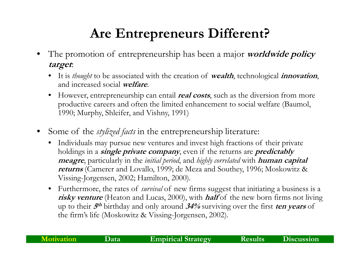## **Are Entrepreneurs Different?**

- • The promotion of entrepreneurship has been a major **worldwide policy target**:
	- It is *thought* to be associated with the creation of **wealth**, technological **innovation**, and increased social **welfare**.
	- $\bullet$ However, entrepreneurship can entail **real costs**, such as the diversion from more productive careers and often the limited enhancement to social welfare (Baumol, 1990; Murphy, Shleifer, and Vishny, 1991)
- • Some of the *stylized facts* in the entrepreneurship literature:
	- $\bullet$  Individuals may pursue new ventures and invest high fractions of their private holdings in a **single private company**, even if the returns are **predictably meagre**, particularly in the *initial period*, and *highly correlated* with **human capital returns** (Camerer and Lovallo, 1999; de Meza and Southey, 1996; Moskowitz & Vissing-Jorgensen, 2002; Hamilton, 2000).
	- Furthermore, the rates of *survival* of new firms suggest that initiating a business is a **risky venture** (Heaton and Lucas, 2000), with **half** of the new born firms not living up to their **5th** birthday and only around **34%** surviving over the first **ten years** of the firm's life (Moskowitz & Vissing-Jorgensen, 2002).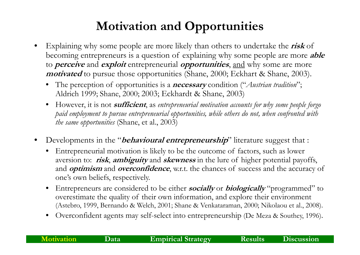### **Motivation and Opportunities**

- • Explaining why some people are more likely than others to undertake the **risk** of becoming entrepreneurs is a question of explaining why some people are more **able** to **perceive** and **exploit** entrepreneurial **opportunities**, and why some are more **motivated** to pursue those opportunities (Shane, 2000; Eckhart & Shane, 2003).
	- • The perception of opportunities is a **necessary** condition ("*Austrian tradition*"; Aldrich 1999; Shane, 2000; 2003; Eckhardt & Shane, 2003)
	- • However, it is not **sufficient**, as *entrepreneurial motivation accounts for why some people forgo paid employment to pursue entrepreneurial opportunities, while others do not, when confronted with the same opportunities* (Shane, et al., 2003)
- •Developments in the "*behavioural entrepreneurship*" literature suggest that :
	- $\bullet$  Entrepreneurial motivation is likely to be the outcome of factors, such as lower aversion to: **risk**, **ambiguity** and **skewness** in the lure of higher potential payoffs, and **optimism** and **overconfidence**, w.r.t. the chances of success and the accuracy of one's own beliefs, respectively.
	- • Entrepreneurs are considered to be either **socially** or **biologically** "programmed" to overestimate the quality of their own information, and explore their environment (Astebro, 1999, Bernando & Welch, 2001; Shane & Venkataraman, 2000; Nikolaou et al., 2008).
	- •• Overconfident agents may self-select into entrepreneurship (De Meza & Southey, 1996).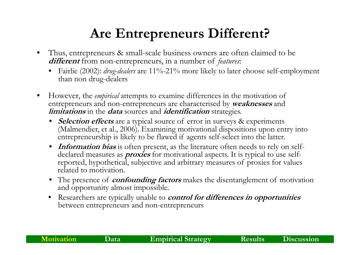## **Are Entrepreneurs Different?**

- • Thus, entrepreneurs & small-scale business owners are often claimed to be **different** from non-entrepreneurs, in a number of *features*:
	- •• Fairlie (2002): *drug-dealers* are 11%-21% more likely to later choose self-employment than non drug-dealers
- • However, the *empirical* attempts to examine differences in the motivation of entrepreneurs and non-entrepreneurs are characterised by **weaknesses** and **limitations** in the **data** sources and **identification** strategies.
	- **Selection effects** are a typical source of error in surveys & experiments (Malmendier, et al., 2006). Examining motivational dispositions upon entry into entrepreneurship is likely to be flawed if agents self-select into the latter.
	- **Information bias** is often present, as the literature often needs to rely on selfdeclared measures as *proxies* for motivational aspects. It is typical to use selfreported, hypothetical, subjective and arbitrary measures of proxies for values related to motivation.
	- The presence of **confounding factors** makes the disentanglement of motivation and opportunity almost impossible.
	- Researchers are typically unable to **control for differences in opportunities**  between entrepreneurs and non-entrepreneurs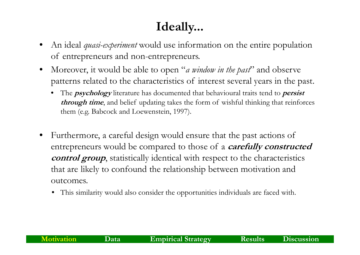### **Ideally...**

- • An ideal *quasi-experiment* would use information on the entire population of entrepreneurs and non-entrepreneurs.
- •Moreover, it would be able to open "*a window in the past*" and observe patterns related to the characteristics of interest several years in the past.
	- • The **psychology** literature has documented that behavioural traits tend to **persist through time**, and belief updating takes the form of wishful thinking that reinforces them (e.g. Babcock and Loewenstein, 1997).
- $\bullet$  Furthermore, a careful design would ensure that the past actions of entrepreneurs would be compared to those of a *carefully constructed control group*, statistically identical with respect to the characteristics that are likely to confound the relationship between motivation and outcomes.
	- This similarity would also consider the opportunities individuals are faced with.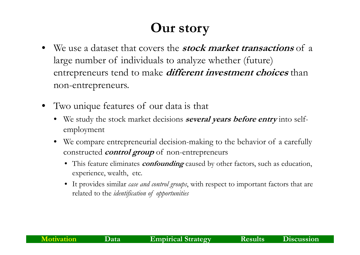## **Our story**

- We use a dataset that covers the **stock market transactions** of <sup>a</sup> large number of individuals to analyze whether (future) entrepreneurs tend to make *different investment choices* than non-entrepreneurs.
- Two unique features of our data is that
	- We study the stock market decisions **several years before entry** into selfemployment
	- We compare entrepreneurial decision-making to the behavior of a carefully constructed *control group* of non-entrepreneurs
		- This feature eliminates **confounding** caused by other factors, such as education, experience, wealth, etc.
		- It provides similar *case and control groups*, with respect to important factors that are related to the *identification of opportunities*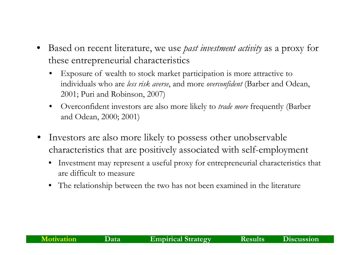- • Based on recent literature, we use *past investment activity* as a proxy for these entrepreneurial characteristics
	- • Exposure of wealth to stock market participation is more attractive to individuals who are *less risk averse*, and more *overconfident* (Barber and Odean, 2001; Puri and Robinson, 2007)
	- • Overconfident investors are also more likely to *trade more* frequently (Barber and Odean, 2000; 2001)
- $\bullet$  Investors are also more likely to possess other unobservable characteristics that are positively associated with self-employment
	- • Investment may represent a useful proxy for entrepreneurial characteristics that are difficult to measure
	- $\bullet$  The relationship between the two has not been examined in the literature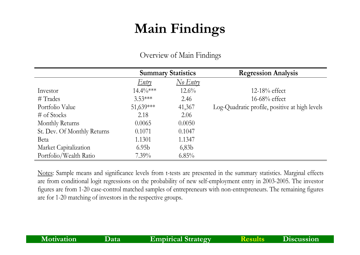# **Main Findings**

|                             |                   | <b>Summary Statistics</b>         | <b>Regression Analysis</b>                     |
|-----------------------------|-------------------|-----------------------------------|------------------------------------------------|
|                             | <u>Entry</u>      | $\frac{N_{0} E_{n} t_{n}}{N_{0}}$ |                                                |
| Investor                    | $14.4\%***$       | $12.6\%$                          | 12-18% effect                                  |
| $\#$ Trades                 | $3.53***$         | 2.46                              | $16-68\%$ effect                               |
| Portfolio Value             | 51,639***         | 41,367                            | Log-Quadratic profile, positive at high levels |
| $\#$ of Stocks              | 2.18              | 2.06                              |                                                |
| Monthly Returns             | 0.0065            | 0.0050                            |                                                |
| St. Dev. Of Monthly Returns | 0.1071            | 0.1047                            |                                                |
| Beta                        | 1.1301            | 1.1347                            |                                                |
| Market Capitalization       | 6.95 <sub>b</sub> | 6,83b                             |                                                |
| Portfolio/Wealth Ratio      | $7.39\%$          | $6.85\%$                          |                                                |

### Overview of Main Findings

Notes: Sample means and significance levels from t-tests are presented in the summary statistics. Marginal effects are from conditional logit regressions on the probability of new self-employment entry in 2003-2005. The investor figures are from 1-20 case-control matched samples of entrepreneurs with non-entrepreneurs. The remaining figures are for 1-20 matching of investors in the respective groups.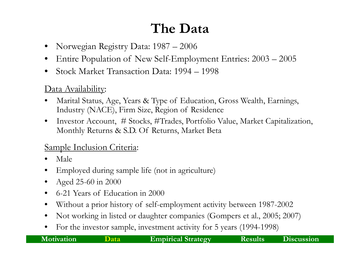# **The Data**

- •Norwegian Registry Data: 1987 – 2006
- •Entire Population of New Self-Employment Entries: 2003 – 2005
- •• Stock Market Transaction Data: 1994 – 1998

### Data Availability:

- •Marital Status, Age, Years & Type of Education, Gross Wealth, Earnings, Industry (NACE), Firm Size, Region of Residence
- $\bullet$  Investor Account, # Stocks, #Trades, Portfolio Value, Market Capitalization, Monthly Returns & S.D. Of Returns, Market Beta

### Sample Inclusion Criteria:

- •Male
- •Employed during sample life (not in agriculture)
- $\bullet$ Aged 25-60 in 2000
- $\bullet$ 6-21 Years of Education in 2000
- •Without a prior history of self-employment activity between 1987-2002
- $\bullet$ Not working in listed or daughter companies (Gompers et al., 2005; 2007)
- $\bullet$ For the investor sample, investment activity for 5 years (1994-1998)

| Motivation |  |
|------------|--|
|            |  |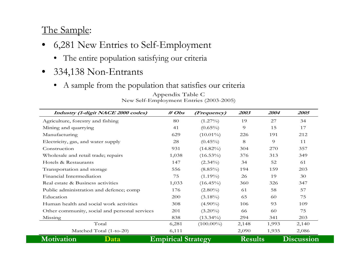### The Sample:

- • 6,281 New Entries to Self-Employment
	- The entire population satisfying our criteria
- $\bullet$ • 334,138 Non-Entrants
	- $\bullet$ A sample from the population that satisfies our criteria

| Industry (1-digit NACE 2000 codes)            | $\# \textit{Obs}$         | (Frequency)  | 2003           | 2004  | 2005              |
|-----------------------------------------------|---------------------------|--------------|----------------|-------|-------------------|
| Agriculture, forestry and fishing             | 80                        | $(1.27\%)$   | 19             | 27    | 34                |
| Mining and quarrying                          | 41                        | $(0.65\%)$   | 9              | 15    | 17                |
| Manufacturing                                 | 629                       | $(10.01\%)$  | 226            | 191   | 212               |
| Electricity, gas, and water supply            | 28                        | $(0.45\%)$   | 8              | 9     | 11                |
| Construction                                  | 931                       | $(14.82\%)$  | 304            | 270   | 357               |
| Wholesale and retail trade; repairs           | 1,038                     | $(16.53\%)$  | 376            | 313   | 349               |
| Hotels & Restaurants                          | 147                       | $(2.34\%)$   | 34             | 52    | 61                |
| Transportation and storage                    | 556                       | $(8.85\%)$   | 194            | 159   | 203               |
| Financial Intermediation                      | 75                        | $(1.19\%)$   | 26             | 19    | 30                |
| Real estate & Business activities             | 1,033                     | $(16.45\%)$  | 360            | 326   | 347               |
| Public administration and defence; comp       | 176                       | $(2.80\%)$   | 61             | 58    | 57                |
| Education                                     | 200                       | $(3.18\%)$   | 65             | 60    | 75                |
| Human health and social work activities       | 308                       | $(4.90\%)$   | 106            | 93    | 109               |
| Other community, social and personal services | 201                       | $(3.20\%)$   | 66             | 60    | 75                |
| Missing                                       | 838                       | $(13.34\%)$  | 294            | 341   | 203               |
| Total                                         | 6,281                     | $(100.00\%)$ | 2,148          | 1,993 | 2,140             |
| Matched Total (1-to-20)                       | 6,111                     |              | 2,090          | 1,935 | 2,086             |
| Motivation<br>$\bf Data$                      | <b>Empirical Strategy</b> |              | <b>Results</b> |       | <b>Discussion</b> |

Appendix Table C New Self-Employment Entries (2003-2005)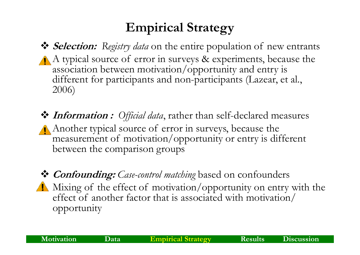### **Empirical Strategy**

- **Selection:** *Registry data* on the entire population of new entrants A typical source of error in surveys & experiments, because the association between motivation/opportunity and entry is different for participants and non-participants (Lazear, et al., 2006)
- **Information :** *Official data*, rather than self-declared measures Another typical source of error in surveys, because the measurement of motivation/opportunity or entry is different between the comparison groups
- **Confounding:** *Case-control matching* based on confounders Mixing of the effect of motivation/opportunity on entry with the effect of another factor that is associated with motivation/ opportunity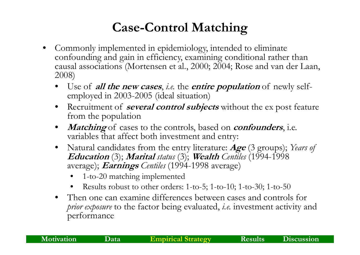### **Case-Control Matching**

- • Commonly implemented in epidemiology, intended to eliminate confounding and gain in efficiency, examining conditional rather than causal associations (Mortensen et al., 2000; 2004; Rose and van der Laan, 2008)
	- • Use of **all the new cases**, *i.e.* the **entire population** of newly selfemployed in 2003-2005 (ideal situation)
	- • Recruitment of **several control subjects** without the ex post feature from the population
	- •*Matching* of cases to the controls, based on *confounders*, i.e. variables that affect both investment and entry:
	- $\bullet$  Natural candidates from the entry literature: **Age** (3 groups); *Years of*  **Education** (3); **Marital** *status* (3); **Wealth** *Centiles* (1994 -1998 average); **Earnings** *Centiles* (1994-1998 average)
		- •1-to-20 matching implemented
		- •• Results robust to other orders: 1-to-5; 1-to-10; 1-to-30; 1-to-50
	- $\bullet$  Then one can examine differences between cases and controls for *prior exposure* to the factor being evaluated, *i.e.* investment activity and per formance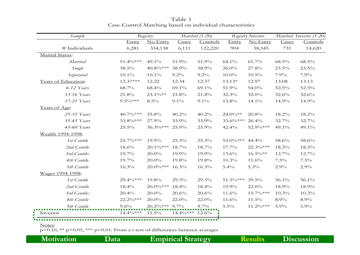|             | Registry    |          | Matched (1-20)               |             | Registry Investor |          | Matched Investor (1-20) |
|-------------|-------------|----------|------------------------------|-------------|-------------------|----------|-------------------------|
| Entry       | No Entry    | Cases    | Controls                     | Entry       | No Entry          | Cases    | Controls                |
| 6,281       | 334,138     | 6,111    | 122,220                      | 904         | 38,345            | 731      | 14,620                  |
|             |             |          |                              |             |                   |          |                         |
| 51.4%***    | $49.1\%$    | 51.9%    | 51.9%                        | 64.1%       | 61.7%             | $68.5\%$ | 68.5%                   |
| 38.5%       | 40.8%***    | 38.9%    | 38.9%                        | 26.0%       | 27.8%             | 23.5%    | 23.5%                   |
| $10.1\%$    | $10.1\%$    | $9.2\%$  | $9.2\%$                      | $10.0\%$    | $10.5\%$          | 7.9%     | 7.9%                    |
| 12.37***    | 12.22       | 12.34    | 12.37                        | $13.13*$    | 12.97             | 13.08    | 13.13                   |
| 68.7%       | 68.4%       | 69.1%    | 69.1%                        | 51.9%       | 54.0%             | 52.5%    | 52.5%                   |
| 21.8%       | 23.1%**     | 21.8%    | 21.8%                        | 32.3%       | 32.0%             | 32.6%    | 32.6%                   |
| $9.5\%***$  | $8.5\%$     | $9.1\%$  | $9.1\%$                      | 15.8%       | 14.1%             | 14.9%    | 14.9%                   |
|             |             |          |                              |             |                   |          |                         |
| 40.7%***    | 35.8%       | 40.2%    | 40.2%                        | $24.0\%**$  | 20.8%             | $18.2\%$ | $18.2\%$                |
| 33.8%***    | 27.9%       | 33.9%    | 33.9%                        | $33.6\%***$ | 26.4%             | 32.7%    | 32.7%                   |
| 25.5%       | 36.3%***    | 25.9%    | 25.9%                        | 42.4%       | 52.9%***          | 49.1%    | 49.1%                   |
|             |             |          |                              |             |                   |          |                         |
| 25.7%***    | 19.9%       | 25.3%    | 25.3%                        | 53.0%***    | 44.4%             | 58.6%    | 58.6%                   |
| 18.6%       | $20.1\%***$ | 18.7%    | 18.7%                        | 17.7%       | 22.3%***          | 18.3%    | 18.3%                   |
| 19.7%       | 20.0%       | 19.9%    | 19.9%                        | 13.6%       | $16.5\%**$        | 12.7%    | 12.7%                   |
| 19.7%       | $20.0\%$    | 19.8%    | 19.8%                        | $10.3\%$    | 11.6%             | $7.5\%$  | $7.5\%$                 |
| 16.3%       |             | $16.3\%$ | 16.3%                        | 5.4%        | $5.3\%$           | 2.9%     | 2.9%                    |
|             |             |          |                              |             |                   |          |                         |
| $29.4\%***$ | 19.8%       | 29.3%    | 29.3%                        | 51.3%***    | $39.5\%$          | 56.1%    | 56.1%                   |
| 18.4%       | 20.0%***    | 18.4%    | 18.4%                        | 19.9%       | 22.0%             | 18.9%    | 18.9%                   |
| 20.4%       | $20.0\%$    | 20.6%    | 20.6%                        | 11.6%       | $15.7\%***$       | $10.3\%$ | 10.3%                   |
| $22.2\%***$ | 20.0%       | 22.0%    | 22.0%                        | 11.6%       | 11.5%             | 8.9%     | 8.9%                    |
| 9.6%        |             |          | $9.7\%$                      | $5.5\%$     | $11.2\%***$       | 5.9%     | 5.9%                    |
| $14.4\%***$ | 11.5%       |          | $12.6\%$                     |             |                   |          |                         |
|             |             |          | $20.0\%***$<br>20.2%*** 9.7% | $14.4\%***$ |                   |          |                         |

Table 1 Case-Control Matching based on individual characteristics

#### Notes:

 $p \le 0.10$ , \*\*  $p \le 0.05$ , \*\*\*  $p \le 0.01$ : From a t-test of differences between averages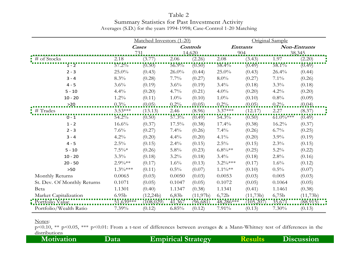#### Table 2

#### Summary Statistics for Past Investment Activity Averages (S.D.) for the years 1994-1998; Case-Control 1-20 Matching

|                             |                   | Matched Investors (1-20) |                    |                 |               |                 | Original Sample |              |
|-----------------------------|-------------------|--------------------------|--------------------|-----------------|---------------|-----------------|-----------------|--------------|
|                             |                   | <b>Cases</b>             |                    | <b>Controls</b> |               | <b>Entrants</b> |                 | Non-Entrants |
|                             |                   | 731                      |                    | 14,620          |               | 204.            |                 | 38,345       |
| # of Stocks                 | 2.18              | (3.77)                   | 2.06               | (2.26)          | $2.08\,$      | (3.43)          | 1.97            | (2.20)       |
| $1 - 2$                     | $57.2\%$          | (0.50)                   | 56.9%              | (0.50)          | 58.4%         | (0.49)          | 58.1%           | (0.49)       |
| $2 - 3$                     | 25.0%             | (0.43)                   | 26.0%              | (0.44)          | $25.0\%$      | (0.43)          | 26.4%           | (0.44)       |
| $3 - 4$                     | 8.3%              | (0.28)                   | 7.7%               | (0.27)          | $8.0\%$       | (0.27)          | $7.1\%$         | (0.26)       |
| $4 - 5$                     | 3.6%              | (0.19)                   | 3.6%               | (0.19)          | $3.4\%$       | (0.18)          | $3.3\%$         | (0.18)       |
| $5 - 10$                    | 4.4%              | (0.20)                   | $4.7\%$            | (0.21)          | $4.0\%$       | (0.20)          | $4.2\%$         | (0.20)       |
| $10 - 20$                   | $1.2\%$           | (0.11)                   | $1.0\%$            | (0.10)          | $1.0\%$       | (0.10)          | 0.8%            | (0.09)       |
| $-20$                       | $0.3\%$           | (0.05)                   | $0.2\%$            | (0.05)          | 0.2%          | (0.05)          | $0.2\%$         | (0.04)       |
| $#$ Trades                  | $3.53***$         | (13.13)                  | 2.46               | (8.96)          | $3.37***$     | (12.17)         | 2.27            | (8.37)       |
| $0 - 1$                     | $54.2\%$          | (0.50)                   | $57.3\%$           | (0.49)          | $54.3\%$      | (0.50)          | $61.0\%***$     | (0.49)       |
| $1 - 2$                     | 16.6%             | (0.37)                   | 17.5%              | (0.38)          | 17.4%         | (0.38)          | $16.2\%$        | (0.37)       |
| $2 - 3$                     | $7.6\%$           | (0.27)                   | $7.4\%$            | (0.26)          | $7.4\%$       | (0.26)          | $6.7\%$         | (0.25)       |
| $3 - 4$                     | $4.2\%$           | (0.20)                   | 4.4%               | (0.20)          | $4.1\%$       | (0.20)          | $3.9\%$         | (0.19)       |
| $4 - 5$                     | $2.5\%$           | (0.15)                   | 2.4%               | (0.15)          | $2.5\%$       | (0.15)          | $2.3\%$         | (0.15)       |
| $5 - 10$                    | $7.5\%*$          | (0.26)                   | $5.8\%$            | (0.23)          | $6.8\%**$     | (0.25)          | $5.2\%$         | (0.22)       |
| $10 - 20$                   | 3.3%              | (0.18)                   | $3.2\%$            | (0.18)          | 3.4%          | (0.18)          | 2.8%            | (0.16)       |
| $20 - 50$                   | $2.9\%**$         | (0.17)                   | 1.6%               | (0.13)          | $3.2\%***$    | (0.17)          | 1.6%            | (0.12)       |
| $>50$                       | $1.3\%***$        | (0.11)                   | $0.5\%$            | (0.07)          | $1.1\%**$     | (0.10)          | $0.5\%$         | (0.07)       |
| Monthly Returns             | 0.0065            | (0.03)                   | 0.0050             | (0.03)          | 0.0053        | (0.03)          | 0.005           | (0.03)       |
| St. Dev. Of Monthly Returns | 0.1071            | (0.05)                   | 0.1047             | (0.05)          | 0.1072        | (0.05)          | 0.1064          | (0.05)       |
| Beta                        | 1.1301            | (0.40)                   | 1.1347             | (0.38)          | 1.1341        | (0.41)          | 1.1461          | (0.38)       |
| Market Capitalization       | 6.95 <sub>b</sub> | (12,24b)                 | 6,83b              | (11,97b)        | 6,72b         | (11,73b)        | 6,75b           | (11,73b)     |
| Portfolio Value             | 51,639 ***        | (108, 029)               | $\frac{41,367}{ }$ | (96, 681)       | $.48,286$ *** | (105, 207)      | 35,671          | (88, 915)    |
| Portfolio/Wealth Ratio      | 7.39%             | (0.12)                   | 6.85%              | (0.12)          | 7.91%         | (0.13)          | 7.30%           | (0.13)       |

#### Notes:

p<0.10, \*\* p<0.05, \*\*\* p<0.01: From a t-test of differences between averages & a Mann-Whitney test of differences in the distributions **Motivation Data Empirical Strategy Results Discussion**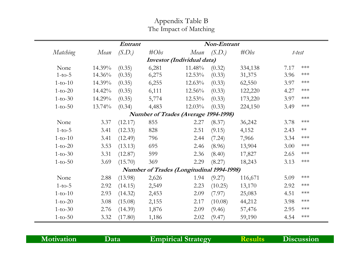### Appendix Table B The Impact of Matching

|           | Non-Entrant<br><b>Entrant</b> |         |         |                                                  |         |         |      |                       |  |  |
|-----------|-------------------------------|---------|---------|--------------------------------------------------|---------|---------|------|-----------------------|--|--|
| Matching  | Mean                          | (S.D.)  | $\#Obs$ | Mean                                             | (S.D.)  | $\#Obs$ |      | t-test                |  |  |
|           |                               |         |         | Investor (Individual data)                       |         |         |      |                       |  |  |
| None      | 14.39%                        | (0.35)  | 6,281   | 11.48%                                           | (0.32)  | 334,138 | 7.17 | ***                   |  |  |
| $1-to-5$  | $14.36\%$                     | (0.35)  | 6,275   | $12.53\%$                                        | (0.33)  | 31,375  | 3.96 | $***$                 |  |  |
| $1-to-10$ | 14.39%                        | (0.35)  | 6,255   | $12.63\%$                                        | (0.33)  | 62,550  | 3.97 | ***                   |  |  |
| $1-to-20$ | 14.42%                        | (0.35)  | 6,111   | $12.56\%$                                        | (0.33)  | 122,220 | 4.27 | $***$                 |  |  |
| $1-to-30$ | $14.29\%$                     | (0.35)  | 5,774   | $12.53\%$                                        | (0.33)  | 173,220 | 3.97 | $\star\!\star\!\star$ |  |  |
| $1-to-50$ | 13.74%                        | (0.34)  | 4,483   | $12.03\%$                                        | (0.33)  | 224,150 | 3.49 | $\star\!\star\!\star$ |  |  |
|           |                               |         |         | <b>Number of Trades (Average 1994-1998)</b>      |         |         |      |                       |  |  |
| None      | 3.37                          | (12.17) | 855     | 2.27                                             | (8.37)  | 36,242  | 3.78 | $\star\!\star\!\star$ |  |  |
| $1-to-5$  | 3.41                          | (12.33) | 828     | 2.51                                             | (9.15)  | 4,152   | 2.43 | $**$                  |  |  |
| $1-to-10$ | 3.41                          | (12.49) | 796     | 2.44                                             | (7.24)  | 7,966   | 3.34 | ***                   |  |  |
| $1-to-20$ | 3.53                          | (13.13) | 695     | 2.46                                             | (8.96)  | 13,904  | 3.00 | ***                   |  |  |
| $1-to-30$ | 3.31                          | (12.87) | 599     | 2.36                                             | (8.40)  | 17,827  | 2.65 | $***$                 |  |  |
| $1-to-50$ | 3.69                          | (15.70) | 369     | 2.29                                             | (8.27)  | 18,243  | 3.13 | ***                   |  |  |
|           |                               |         |         | <b>Number of Trades (Longitudinal 1994-1998)</b> |         |         |      |                       |  |  |
| None      | 2.88                          | (13.98) | 2,626   | 1.94                                             | (9.27)  | 116,671 | 5.09 | ***                   |  |  |
| $1-to-5$  | 2.92                          | (14.15) | 2,549   | 2.23                                             | (10.25) | 13,170  | 2.92 | $***$                 |  |  |
| $1-to-10$ | 2.93                          | (14.32) | 2,453   | 2.09                                             | (7.97)  | 25,083  | 4.51 | ***                   |  |  |
| $1-to-20$ | 3.08                          | (15.08) | 2,155   | 2.17                                             | (10.08) | 44,212  | 3.98 | $***$                 |  |  |
| $1-to-30$ | 2.76                          | (14.39) | 1,876   | 2.09                                             | (9.46)  | 57,476  | 2.95 | $***$                 |  |  |
| $1-to-50$ | 3.32                          | (17.80) | 1,186   | 2.02                                             | (9.47)  | 59,190  | 4.54 | $***$                 |  |  |

| <b>Motivation</b> | Data' | <b>Empirical Strategy</b> | <b>Results</b> | Discussion |
|-------------------|-------|---------------------------|----------------|------------|
|                   |       |                           |                |            |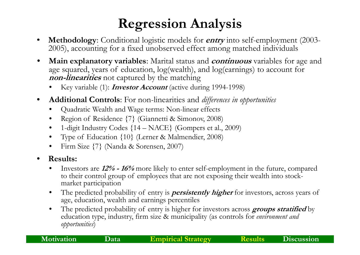# **Regression Analysis**

- •• Methodology: Conditional logistic models for *entry* into self-employment (2003 - 2005), accounting for a fixed unobserved effect among matched individuals
- $\bullet$  **Main explanatory variables**: Marital status and **continuous** variables for age and age squared, years of education, log(wealth), and log(earnings) to account for **non-linearities** not captured by the matching
	- •Key variable (1): **Investor Account** (active during 1994-1998)
- •• Additional Controls: For non-linearities and *differences in opportunities* 
	- •Quadratic Wealth and Wage terms: Non-linear effects
	- •Region of Residence {7} (Giannetti & Simonov, 2008)
	- •1-digit Industry Codes {14 – NACE} (Gompers et al., 2009)
	- •Type of Education {10} (Lerner & Malmendier, 2008)
	- $\bullet$ Firm Size {7} (Nanda & Sorensen, 2007)
- •**•** Results:
	- • Investors are **12% - 16%** more likely to enter self-employment in the future, compared to their control group of employees that are not exposing their wealth into stockmarket participation
	- •The predicted probability of entry is *persistently higher* for investors, across years of age, education, wealth and earnings percentiles
	- • The predicted probability of entry is higher for investors across **groups stratified** by education type, industry, firm size & municipality (as controls for *environment and opportunities*)

| <b>Motivation</b> | Data | <b>Empirical Strategy</b> | <b>Results</b> | Discussion |
|-------------------|------|---------------------------|----------------|------------|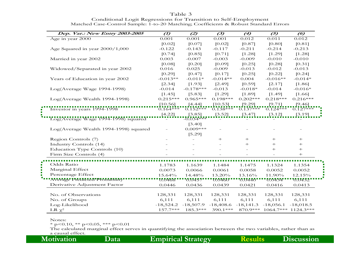| Dep. Var.: New Entry 2003-2005        | $\mathcal{L}$ | (2)                | (3)           | (4)         | (5)                   | $\boldsymbol{\omega}$ |
|---------------------------------------|---------------|--------------------|---------------|-------------|-----------------------|-----------------------|
| Age in year 2000                      | 0.001         | $\overline{0.0}01$ | 0.001         | 0.012       | $\overline{0.011}$    | 0.012                 |
|                                       | [0.02]        | [0.07]             | [0.02]        | [0.87]      | [0.80]                | [0.81]                |
| Age Squared in year 2000/1,000        | $-0.122$      | $-0.143$           | $-0.117$      | $-0.211$    | $-0.214$              | $-0.213$              |
|                                       | [0.74]        | [0.85]             | [0.71]        | [1.28]      | [1.29]                | [1.28]                |
| Married in year 2002                  | 0.003         | $-0.007$           | $-0.003$      | $-0.009$    | $-0.010$              | $-0.010$              |
|                                       | [0.08]        | [0.20]             | [0.09]        | [0.25]      | [0.28]                | [0.31]                |
| Widowed/Separated in year 2002        | 0.016         | 0.025              | $-0.009$      | $-0.013$    | $-0.012$              | $-0.013$              |
|                                       | [0.29]        | [0.47]             | [0.17]        | [0.25]      | [0.22]                | [0.24]                |
| Years of Education in year 2002       | $-0.013**$    | $-0.011*$          | $-0.014**$    | 0.004       | $-0.016**$            | $-0.014*$             |
|                                       | [2.34]        | [1.93]             | [2.49]        | [0.59]      | [2.17]                | [1.86]                |
| Log(Average Wage 1994-1998)           | $-0.014$      | $-0.178***$        | $-0.013$      | $-0.018*$   | $-0.014$              | $-0.016*$             |
|                                       | [1.45]        | [5.83]             | [1.29]        | [1.89]      | [1.49]                | [1.66]                |
| Log(Average Wealth 1994-1998)         | $0.215***$    | $0.965***$         | $0.198***$    | $0.202***$  | $0.218***$            | $0.216***$            |
|                                       | [10.56]       | $[4.44]$           | [10.53]       | [9.29]      | [9.71]                | [9.46]                |
| Investor in years 1994-1998           | $0.164***$    | $0.152***$         | $0.138***$    | $0.137***$  | $0.124***$            | $0.127***$            |
|                                       | [4.22]        | [3.85]             | $[3.52]$      | $[3.47]$    | $[3.12]$              | $[3.19]$              |
| Log(Average Wage 1994-1998) squared   |               | $-0.034**$         |               |             |                       |                       |
|                                       |               | [3.40]             |               |             |                       |                       |
| Log(Average Wealth 1994-1998) squared |               | $0.009***$         |               |             |                       |                       |
|                                       |               | [5.29]             |               |             |                       |                       |
| Region Controls (7)                   |               |                    | $+$           | $+$         | $^{+}$                | $^{+}$                |
| Industry Controls (14)                |               |                    |               | $^{+}$      | $+$                   | $^{+}$                |
| Education Type Controls (10)          |               |                    |               |             | $+$                   | $+$                   |
| Firm Size Controls (4)                |               |                    |               |             |                       | $+$                   |
|                                       |               |                    |               |             |                       |                       |
| Odds Ratio                            | 1.1783        | 1.1639             | 1.1484        | 1.1475      | 1.1324                | 1.1354                |
| Marginal Effect                       | 0.0073        | 0.0066             | 0.0061        | 0.0058      | 0.0052                | 0.0052                |
| Percentage Effect                     | 15.64%        | 14.48%             | 13.20%        | 13.16%      | 11.90%                | 12.15%                |
| Average Predicted Probability         | 0.0468        | '0.0457            | <b>しいしょうし</b> | "0.0440"    | "0.0434"              | 0.0432                |
| Derivative Adjustment Factor          | 0.0446        | 0.0436             | 0.0439        | 0.0421      | 0.0416                | 0.0413                |
| No. of Observations                   | 128,331       | 128,331            | 128,331       | 128,331     | 128,331               | 128,331               |
| No. of Groups                         | 6,111         | 6,111              | 6,111         | 6,111       | 6,111                 | 6,111                 |
| Log-Likelihood                        | $-18,524.2$   | $-18,507.9$        | $-18,408.6$   | $-18,141.3$ | $-18,056.1$           | $-18,018.5$           |
| LR $\chi^2$                           | $157.7***$    | $185.3***$         | 390.1***      | 870.9***    | $1064.7***$ 1124.3*** |                       |

Table 3 Conditional Logit Regressions for Transition to Self-Employment Matched Case-Control Sample: 1-to-20 Matching; Coefficients & Robust Standard Errors

Notes:

 $*$  p<0.10,  $**$  p<0.05,  $***$  p<0.01

The calculated marginal effect serves in quantifying the association between the two variables, rather than as a causal effect.

 $\blacksquare$  $\sim$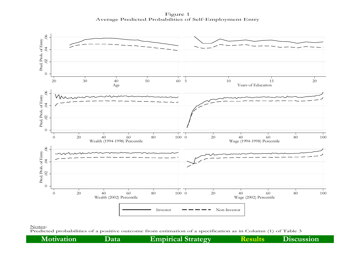Figure 1 Average Predicted Probabilities of Self-Employment Entry



Notes:

Predicted probabilities of a positive outcome from estimation of a specification as in Column (1) of Table 3

**Motivation Data Empirical Strategy Results Discussion**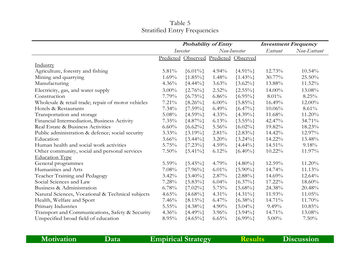### Table 5 Stratified Entry Frequencies

|                                                    |          |                                       | <b>Probability of Entry</b> |               |          | <b>Investment Frequency</b> |
|----------------------------------------------------|----------|---------------------------------------|-----------------------------|---------------|----------|-----------------------------|
|                                                    |          | Investor                              |                             | Non-Investor  | Entrant  | Non-Entrant                 |
|                                                    |          | Predicted Observed Predicted Observed |                             |               |          |                             |
| Industry                                           |          |                                       |                             |               |          |                             |
| Agriculture, forestry and fishing                  | 5.81%    | $\{6.01\% \}$                         | $4.94\%$                    | $\{4.91\% \}$ | 12.73%   | 10.54%                      |
| Mining and quarrying                               | 1.69%    | ${1.85\%}$                            | 1.48%                       | ${1.43\%}$    | 30.77%   | 25.50%                      |
| Manufacturing                                      | 4.36%    | ${4.44\%}$                            | $3.63\%$                    | ${3.62\%}$    | 13.88%   | 11.52%                      |
| Electricity, gas, and water supply                 | $3.00\%$ | $\{2.76\% \}$                         | 2.52%                       | ${2.55\%}$    | 14.00%   | 13.08%                      |
| Construction                                       | 7.79%    | ${6.75\%}$                            | 6.86%                       | ${6.95\%}$    | $8.01\%$ | $8.25\%$                    |
| Wholesale & retail trade; repair of motor vehicles | $7.21\%$ | ${8.26\%}$                            | $6.00\%$                    | ${5.85\%}$    | 16.49%   | 12.00%                      |
| Hotels & Restaurants                               | 7.34%    | $\{7.59\% \}$                         | 6.49%                       | ${6.47\%}$    | 10.06%   | 8.61%                       |
| Transportation and storage                         | 5.08%    | ${4.59\%}$                            | $4.33\%$                    | ${4.39\%}$    | 11.68%   | 11.20%                      |
| Financial Intermediation, Business Activity        | 7.35%    | ${4.87\%}$                            | 6.13%                       | ${3.55\%}$    | 42.47%   | 34.71%                      |
| Real Estate & Business Activities                  | $6.60\%$ | $\{6.62\% \}$                         | 5.56%                       | $\{6.02\% \}$ | 19.82%   | 18.23%                      |
| Public administration & defence; social security   | $3.33\%$ | $\{3.19\% \}$                         | 2.81%                       | ${2.83\%}$    | 14.42%   | 12.97%                      |
| Education                                          | $3.66\%$ | $\{3.44\% \}$                         | $3.20\%$                    | ${3.24\%}$    | 14.22%   | 13.48%                      |
| Human health and social work activities            | 5.75%    | $\{7.23\% \}$                         | $4.59\%$                    | ${4.44\%}$    | 14.51%   | 9.18%                       |
| Other community, social and personal services      | $7.50\%$ | $\{5.41\% \}$                         | 6.12%                       | $\{6.40\% \}$ | 10.22%   | 11.97%                      |
| <b>Education Type</b>                              |          |                                       |                             |               |          |                             |
| General programmes                                 | $5.59\%$ | ${5.45\%}$                            | 4.79%                       | ${4.80\%}$    | 12.59%   | 11.20%                      |
| Humanities and Arts                                | 7.08%    | $\{7.96\% \}$                         | $6.01\%$                    | ${5.90\%}$    | 14.74%   | 11.13%                      |
| Teacher Training and Pedagogy                      | $3.42\%$ | $\{3.40\% \}$                         | 2.87%                       | ${2.88\%}$    | 14.69%   | 12.64%                      |
| Social Sciences and Law                            | 7.28%    | ${5.83\%}$                            | 6.04%                       | ${6.37\%}$    | 17.22%   | 18.60%                      |
| Business & Administration                          | 6.78%    | $\{7.02\% \}$                         | 5.75%                       | ${5.68\%}$    | 24.38%   | 20.48%                      |
| Natural Sciences, Vocational & Technical subjects  | 4.65%    | ${4.68\%}$                            | $4.31\%$                    | ${4.31\%}$    | 11.93%   | 11.05%                      |
| Health, Welfare and Sport                          | 7.46%    | ${8.15\%}$                            | $6.47\%$                    | ${6.38\%}$    | 14.71%   | 11.70%                      |
| Primary Industries                                 | $5.55\%$ | ${4.38\%}$                            | 4.90%                       | ${5.04\%}$    | $9.49\%$ | 10.85%                      |
| Transport and Communications, Safety & Security    | 4.36%    | ${4.49\%}$                            | $3.96\%$                    | ${3.94\%}$    | 14.71%   | 13.08%                      |
| Unspecified broad field of education               | 8.95%    | ${4.65\%}$                            | 6.65%                       | ${6.99\%}$    | $5.00\%$ | $7.50\%$                    |

**Motivation Data Empirical Strategy Results Discussion**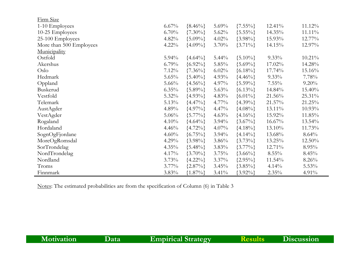| <u>Firm Size</u>        |          |               |          |               |           |           |
|-------------------------|----------|---------------|----------|---------------|-----------|-----------|
| 1-10 Employees          | 6.67%    | ${8.46\%}$    | 5.69%    | ${7.55\%}$    | 12.41%    | 11.12%    |
| 10-25 Employees         | $6.70\%$ | $\{7.30\% \}$ | $5.62\%$ | ${5.55\%}$    | 14.35%    | $11.11\%$ |
| 25-100 Employees        | 4.82%    | ${5.09\%}$    | 4.02%    | ${3.98\%}$    | 15.93%    | $12.77\%$ |
| More than 500 Employees | $4.22\%$ | ${4.09\%}$    | 3.70%    | $\{3.71\% \}$ | 14.15%    | 12.97%    |
| Municipality            |          |               |          |               |           |           |
| Ostfold                 | $5.94\%$ | ${4.64\%}$    | $5.44\%$ | $\{5.10\% \}$ | $9.33\%$  | $10.21\%$ |
| Akershus                | $6.79\%$ | ${6.92\%}$    | 5.85%    | ${5.69\%}$    | 17.02%    | 14.28%    |
| Oslo                    | 7.12%    | $\{7.36\% \}$ | $6.02\%$ | ${6.18\%}$    | 17.74%    | 15.16%    |
| Hedmark                 | 5.65%    | ${5.40\%}$    | 4.93%    | ${4.46\%}$    | $9.33\%$  | 7.78%     |
| Oppland                 | $5.66\%$ | ${4.56\%}$    | 4.97%    | ${5.59\%}$    | $7.55\%$  | $9.20\%$  |
| Buskerud                | $6.35\%$ | ${5.89\%}$    | 5.63%    | $\{6.13\% \}$ | 14.84%    | 15.40%    |
| Vestfold                | 5.32%    | ${4.93\%}$    | 4.83%    | ${6.01\%}$    | $21.56\%$ | $25.31\%$ |
| Telemark                | 5.13%    | ${4.47\%}$    | 4.77%    | ${4.39\%}$    | 21.57%    | 21.25%    |
| AustAgder               | 4.89%    | ${4.97\%}$    | $4.47\%$ | ${4.08\%}$    | $13.11\%$ | $10.93\%$ |
| VestAgder               | $5.06\%$ | ${5.77\%}$    | 4.63%    | ${4.16\%}$    | 15.92%    | 11.85%    |
| Rogaland                | 4.10%    | ${4.64\%}$    | 3.94%    | ${3.67\%}$    | $16.67\%$ | $13.54\%$ |
| Hordaland               | 4.46%    | ${4.72\%}$    | $4.07\%$ | ${4.18\%}$    | 13.10%    | 11.73%    |
| SognOgFjordane          | 4.60%    | ${6.75\%}$    | 3.94%    | ${4.14\%}$    | 13.68%    | $8.64\%$  |
| MoreOgRomsdal           | 4.29%    | ${3.98\%}$    | $3.86\%$ | ${3.73\%}$    | $13.25\%$ | $12.50\%$ |
| SorTrondelag            | $4.35\%$ | ${5.48\%}$    | $3.83\%$ | ${3.77\%}$    | 12.71%    | $8.95\%$  |
| NordTrondelag           | 4.17%    | $\{3.70\% \}$ | 3.75%    | $\{3.66\% \}$ | $8.55\%$  | $8.45\%$  |
| Nordland                | 3.73%    | ${4.22\%}$    | $3.37\%$ | ${2.95\%}$    | $11.54\%$ | $8.26\%$  |
| Troms                   | $3.77\%$ | ${2.87\%}$    | 3.45%    | ${3.85\%}$    | 4.14%     | $5.53\%$  |
| Finnmark                | 3.83%    | ${1.87\%}$    | $3.41\%$ | ${3.92\%}$    | $2.35\%$  | $4.91\%$  |

Notes: The estimated probabilities are from the specification of Column (6) in Table 3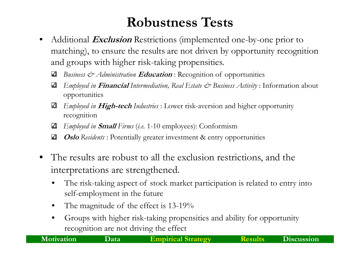## **Robustness Tests**

- •• Additional *Exclusion* Restrictions (implemented one-by-one prior to matching), to ensure the results are not driven by opportunity recognition and groups with higher risk-taking propensities.
	- *Business & Administration* **Education** : Recognition of opportunities ⊻
	- *Employed in* **Financial** *Intermediation, Real Estate & Business Activity* : Information about ⊻ opportunities
	- ☑ *Employed in* **High-tech** *Industries* : Lower risk-aversion and higher opportunity recognition
	- *Employed in Small Firms* (*i.e.* 1-10 employees): Conformism ☑
	- **Oslo** *Residents* : Potentially greater investment & entry opportunities ⊻
- •• The results are robust to all the exclusion restrictions, and the interpretations are strengthened.
	- • $\bullet$  The risk-taking aspect of stock market participation is related to entry into self-employment in the future
	- •The magnitude of the effect is 13-19%
	- • Groups with higher risk-taking propensities and ability for opportunity recognition are not driving the effect

**Motivation Data**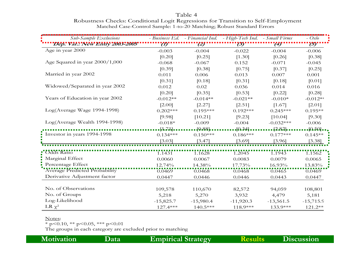Table 4 Robustness Checks: Conditional Logit Regressions for Transition to Self-Employment Matched Case-Control Sample: 1-to-20 Matching; Robust Standard Errors

| Sub-Sample Exclusions               |             |                | - Business Ed. - Financial Ind. - High-Tech Ind. - Small Firms |                  | $- Oslo$                         |
|-------------------------------------|-------------|----------------|----------------------------------------------------------------|------------------|----------------------------------|
| 'Dep.' Vat.' 'New Ehliy '2003-2005' |             | $\binom{2}{ }$ | (3)                                                            | $\left(4\right)$ | (5)                              |
| Age in year 2000                    | $-0.003$    | $-0.004$       | $-0.022$                                                       | $-0.004$         | $-0.006$                         |
|                                     | [0.20]      | [0.25]         | [1.30]                                                         | [0.26]           | [0.38]                           |
| Age Squared in year 2000/1,000      | $-0.068$    | $-0.067$       | 0.152                                                          | $-0.071$         | $-0.045$                         |
|                                     | [0.39]      | [0.38]         | [0.75]                                                         | [0.37]           | [0.25]                           |
| Married in year 2002                | 0.011       | 0.006          | 0.013                                                          | 0.007            | 0.001                            |
|                                     | [0.31]      | [0.18]         | [0.31]                                                         | [0.18]           | [0.01]                           |
| Widowed/Separated in year 2002      | 0.012       | 0.02           | 0.036                                                          | 0.014            | 0.016                            |
|                                     | [0.20]      | [0.35]         | [0.53]                                                         | [0.22]           | [0.28]                           |
| Years of Education in year 2002     | $-0.012**$  | $-0.014**$     | $-0.021**$                                                     | $-0.010*$        | $-0.012**$                       |
|                                     | [2.00]      | [2.27]         | [2.51]                                                         | [1.67]           | [2.01]                           |
| Log(Average Wage 1994-1998)         | $0.202***$  | $0.195***$     | $0.192***$                                                     | $0.245***$       | $0.195**$                        |
|                                     | [9.98]      | [10.21]        | [9.23]                                                         | [10.04]          | [9.30]                           |
| Log(Average Wealth 1994-1998)       | $-0.018*$   | $-0.009$       | $-0.004$                                                       | $-0.032***$      | $-0.006$                         |
|                                     | [1.71]      | $.19.881$ .    | $[0.34]$ .                                                     | $[2.82]$ .       | $\left[\Omega\ 5\Omega\right]$ . |
| Investor in years 1994-1998         | $0.134***$  | $0.150***$     | $0.186***$                                                     | $0.177***$       | $0.145**$                        |
|                                     | [3.03]      | [3.47]         | [3.69]                                                         | [3.96]           | [3.38]                           |
| <b>Cdds Ratio</b>                   |             |                |                                                                |                  |                                  |
| Marginal Effect                     | 1.1431      | 1.1628         | 1.2045                                                         | 1.1943           | 1.1562                           |
| Percentage Effect                   | 0.0060      | 0.0067         | 0.0083                                                         | 0.0079           | 0.0065                           |
| Average Predicted Probability       | 12.74%      | 14.38%         | 17.73%                                                         | 16.93%           | 13.83%                           |
| Derivative Adjustment factor        | 0.0469      | 0.0468         | 0.0468                                                         | 0.0465           | 0.0469                           |
|                                     | 0.0447      | 0.0446         | 0.0446                                                         | 0.0443           | 0.0447                           |
| No. of Observations                 | 109,578     | 110,670        | 82,572                                                         | 94,059           | 108,801                          |
| No. of Groups                       | 5,218       | 5,270          | 3,932                                                          | 4,479            | 5,181                            |
| Log-Likelihood                      | $-15,825.7$ | $-15,980.4$    | $-11,920.3$                                                    | $-13,561.5$      | $-15,715.9$                      |
| LR $\chi^2$                         | 127.4***    | $140.5***$     | 118.9***                                                       | 133.9***         | 121.2**                          |

#### Notes:

\* p<0.10, \*\* p<0.05, \*\*\* p<0.01

The groups in each category are excluded prior to matching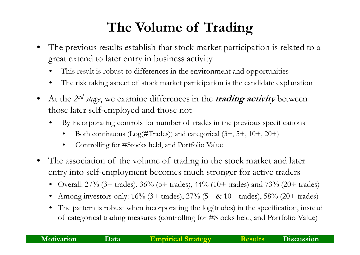# **The Volume of Trading**

- • The previous results establish that stock market participation is related to a great extend to later entry in business activity
	- •• This result is robust to differences in the environment and opportunities
	- •The risk taking aspect of stock market participation is the candidate explanation
- •• At the 2<sup>nd</sup> stage, we examine differences in the **trading activity** between those later self-employed and those not
	- • By incorporating controls for number of trades in the previous specifications
		- •Both continuous (Log(#Trades)) and categorical (3+, 5+, 10+, 20+)
		- •Controlling for #Stocks held, and Portfolio Value
- • The association of the volume of trading in the stock market and later entry into self-employment becomes much stronger for active traders
	- •Overall:  $27\%$  (3+ trades),  $36\%$  (5+ trades),  $44\%$  (10+ trades) and  $73\%$  (20+ trades)
	- •Among investors only:  $16\%$  (3+ trades),  $27\%$  (5+ & 10+ trades),  $58\%$  (20+ trades)
	- • The pattern is robust when incorporating the log(trades) in the specification, instead of categorical trading measures (controlling for #Stocks held, and Portfolio Value)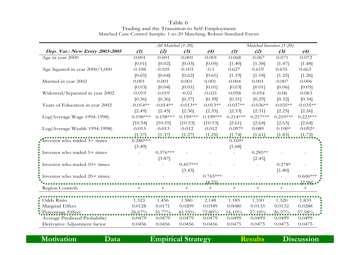|                                 | All Matched (1-20) |            |                |            | Matched Investors (1-20) |            |            |            |  |
|---------------------------------|--------------------|------------|----------------|------------|--------------------------|------------|------------|------------|--|
| Dep. Var.: New Entry 2003-2005  | $\mathcal{L}$      | (2)        | (3)            | (4)        | $\mathcal{L}$            | (2)        | (3)        | (4)        |  |
| Age in year 2000                | $-0.001$           | $-0.001$   | $-0.001$       | $-0.001$   | $-0.068$                 | $-0.067$   | $-0.071$   | $-0.072$   |  |
|                                 | [0.01]             | [0.02]     | [0.03]         | [0.05]     | [1.40]                   | [1.38]     | [1.47]     | [1.48]     |  |
| Age Squared in year 2000/1,000  | $-0.108$           | $-0.105$   | $-0.103$       | $-0.1$     | 0.627                    | 0.619      | 0.655      | 0.663      |  |
|                                 | [0.65]             | [0.64]     | [0.62]         | [0.61]     | [1.19]                   | [1.18]     | [1.25]     | [1.26]     |  |
| Married in year 2002            | 0.001              | 0.001      | 0.001          | 0.001      | $-0.004$                 | 0.001      | $-0.007$   | $-0.006$   |  |
|                                 | [0.03]             | [0.04]     | [0.01]         | [0.01]     | [0.03]                   | [0.01]     | [0.06]     | [0.05]     |  |
| Widowed/Separated in year 2002  | $-0.019$           | $-0.019$   | $-0.02$        | $-0.021$   | $-0.058$                 | $-0.054$   | $-0.06$    | $-0.063$   |  |
|                                 | [0.36]             | [0.36]     | [0.37]         | [0.39]     | [0.31]                   | [0.29]     | [0.32]     | [0.34]     |  |
| Years of Education in year 2002 | $-0.014**$         | $-0.014**$ | $-0.013**$     | $-0.013**$ | $-0.037**$               | $-0.036**$ | $-0.035**$ | $-0.035**$ |  |
|                                 | [2.49]             | [2.45]     | [2.36]         | [2.35]     | [2.33]                   | [2.31]     | [2.25]     | $[2.26]$   |  |
| Log(Average Wage 1994-1998)     | $0.198***$         | $0.198***$ | $0.199***$     | $0.199***$ | $0.214***$               | $0.217***$ | $0.219***$ | $0.223***$ |  |
|                                 | [10.54]            | [10.55]    | [10.53]        | [10.53]    | [2.61]                   | [2.64]     | [2.63]     | [2.64]     |  |
| Log(Average Wealth 1994-1998)   | $-0.013$           | $-0.013$   | $-0.012$       | $-0.012$   | $0.097*$                 | 0.089      | $0.100*$   | $0.092*$   |  |
|                                 | $[1.37]$           | [1.37]     | $[1.27]$       | [1.25]     | [1.74]                   | [1.61]     | [1.83]     | [1.72]     |  |
| Investor who traded 3+ times    | $0.280***$         |            |                |            | $0.169*$                 |            |            |            |  |
|                                 | [3.49]             |            |                |            | [1.68]                   |            |            |            |  |
| Investor who traded 5+ times    |                    | $0.376***$ |                |            |                          | $0.285**$  |            |            |  |
|                                 |                    | [3.87]     |                |            |                          | [2.45]     |            |            |  |
| Investor who traded 10+ times   |                    |            | $0.457***$     |            |                          |            | $0.278*$   |            |  |
|                                 |                    |            | [3.43]         |            |                          |            | [1.80]     |            |  |
| Investor who traded 20+ times   |                    |            | $\overline{a}$ | $0.765***$ |                          |            |            | $0.606***$ |  |
|                                 |                    |            |                | [4.25]     |                          |            |            | $[2.96]$   |  |
| Region Controls                 | $^{+}$             | $^{+}$     | $^{+}$         |            | $^{+}$                   | $^{+}$     | $+$        | $^{+}$     |  |
|                                 |                    |            |                |            |                          |            |            |            |  |
| Odds Ratio                      | 1.323              | 1.456      | 1.580          | 2.148      | 1.185                    | 1.330      | 1.320      | 1.833      |  |
| Marginal Effect                 | 0.0128             | 0.0171     | 0.0209         | 0.0349     | 0.0080                   | 0.0135     | 0.0132     | 0.0288     |  |
| Percentage Effect               | 26.67%             | $35.77\%$  | 43.55%         | 72.80%     | 16.10%                   | $27.10\%$  | $26.37\%$  | 57.58%     |  |
| Average Predicted Probability   | 0.0479             | 0.0479     | 0.0479         | 0.0479     | 0.0499                   | 0.0499     | 0.0499     | 0.0499     |  |
| Derivative Adjustment factor    | 0.0456             | 0.0456     | 0.0456         | 0.0456     | 0.0475                   | 0.0475     | 0.0475     | 0.0475     |  |

Table 6 Trading and the Transition to Self-Employment Matched Case-Control Sample: 1-to-20 Matching; Robust Standard Errors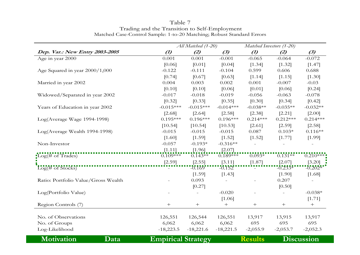|                                            |                           | All Matched (1-20) |             |                                     | Matched Investors (1-20) |            |  |
|--------------------------------------------|---------------------------|--------------------|-------------|-------------------------------------|--------------------------|------------|--|
| Dep. Var.: New Entry 2003-2005             | (1)                       | (2)                | (3)         | (1)                                 | (2)                      | (3)        |  |
| Age in year 2000                           | 0.001                     | 0.001              | $-0.001$    | $-0.065$                            | $-0.064$                 | $-0.072$   |  |
|                                            | [0.06]                    | [0.01]             | [0.04]      | [1.34]                              | [1.32]                   | [1.47]     |  |
| Age Squared in year 2000/1,000             | $-0.122$                  | $-0.111$           | $-0.104$    | 0.599                               | 0.606                    | 0.688      |  |
|                                            | [0.74]                    | [0.67]             | [0.63]      | [1.14]                              | [1.15]                   | [1.30]     |  |
| Married in year 2002                       | 0.004                     | 0.003              | 0.002       | 0.001                               | $-0.007$                 | $-0.03$    |  |
|                                            | [0.10]                    | [0.10]             | [0.06]      | [0.01]                              | [0.06]                   | [0.24]     |  |
| Widowed/Separated in year 2002             | $-0.017$                  | $-0.018$           | $-0.019$    | $-0.056$                            | $-0.063$                 | $-0.078$   |  |
|                                            | [0.32]                    | [0.33]             | [0.35]      | [0.30]                              | [0.34]                   | [0.42]     |  |
| Years of Education in year 2002            | $-0.015***$               | $-0.015***$        | $-0.014***$ | $-0.038**$                          | $-0.035**$               | $-0.032**$ |  |
|                                            | [2.68]                    | [2.64]             | [2.58]      | [2.38]                              | [2.21]                   | [2.00]     |  |
| Log(Average Wage 1994-1998)                | $0.195***$                | $0.196***$         | $0.196***$  | $0.214***$                          | $0.212***$               | $0.214***$ |  |
|                                            | [10.54]                   | [10.54]            | [10.53]     | [2.61]                              | [2.59]                   | [2.58]     |  |
| Log(Average Wealth 1994-1998)              | $-0.015$                  | $-0.015$           | $-0.015$    | 0.087                               | $0.103*$                 | $0.116**$  |  |
|                                            | [1.60]                    | [1.59]             | [1.52]      | [1.52]                              | [1.77]                   | [1.99]     |  |
| Non-Investor                               | $-0.057$                  | $-0.193*$          | $-0.316**$  |                                     |                          |            |  |
|                                            | [1.11]                    | [1.96]             | [2.07]      |                                     |                          |            |  |
| $\text{Log}(\# \text{ of } \text{Trades})$ | $0.109***$                | $0.143**$          | $0.189***$  | $0.093*$                            | $0.131**$                | $0.210***$ |  |
|                                            | [2.59]                    | [2.55]             | [3.11]      | [1.87]                              | [2.07]                   | $[3.20]$   |  |
| $Log(\# \text{ of Stokes})$                |                           | $-0.169$           | $-0.152$    |                                     | $-0.233*$                | $-0.202*$  |  |
|                                            |                           | [1.59]             | [1.43]      |                                     | [1.90]                   | [1.68]     |  |
| Ratio: Portfolio Value/Gross Wealth        |                           | 0.093              |             |                                     | 0.207                    |            |  |
|                                            |                           | [0.27]             |             |                                     | [0.50]                   |            |  |
| Log(Portfolio Value)                       |                           |                    | $-0.020$    |                                     |                          | $-0.038*$  |  |
|                                            |                           |                    | [1.06]      |                                     |                          | [1.71]     |  |
| Region Controls (7)                        | $+$                       | $^{+}$             | $^{+}$      | $^{+}$                              | $^{+}$                   | $+$        |  |
|                                            |                           |                    |             |                                     |                          |            |  |
| No. of Observations                        | 126,551                   | 126,544            | 126,551     | 13,917                              | 13,915                   | 13,917     |  |
| No. of Groups                              | 6,062                     | 6,062              | 6,062       | 695                                 | 695                      | 695        |  |
| Log-Likelihood                             | $-18,223.5$               | $-18,221.6$        | $-18,221.5$ | $-2,055.9$                          | $-2,053.7$               | $-2,052.3$ |  |
| <b>Motivation</b><br>Data                  | <b>Empirical Strategy</b> |                    |             | <b>Discussion</b><br><b>Results</b> |                          |            |  |

Table 7 Trading and the Transition to Self-Employment Matched Case-Control Sample: 1-to-20 Matching; Robust Standard Errors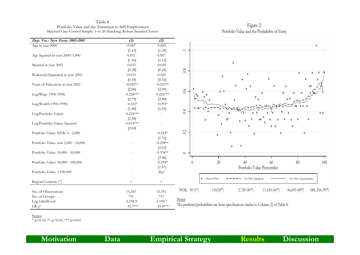Table 8 Portfolio Value and the Transition to Self-Employment Matched Case-Control Sample: 1-to-20 Matching; Robust Standard Errors

| Dep. Var.: New Entry 2003-2005      | $\left( 1\right)$ | (2)        |                                                                                                                                                                 |
|-------------------------------------|-------------------|------------|-----------------------------------------------------------------------------------------------------------------------------------------------------------------|
| Age in year 2000                    | $-0.067$          | $-0.065$   |                                                                                                                                                                 |
|                                     | [1.43]            | [1.39]     | $\overline{\phantom{a}}$                                                                                                                                        |
| Age Squared in year 2000/1,000      | 0.592             | 0.567      |                                                                                                                                                                 |
|                                     | [1.16]            | [1.12]     |                                                                                                                                                                 |
| Married in year 2002                | $-0.033$          | $-0.029$   |                                                                                                                                                                 |
|                                     | [0.28]            | [0.24]     | 0.8                                                                                                                                                             |
| Widowed/Separated in year 2002      | $-0.033$          | $-0.029$   | ٠                                                                                                                                                               |
|                                     | [0.18]            | [0.16]     |                                                                                                                                                                 |
| Years of Education in year 2002     | $-0.032**$        | $-0.032**$ |                                                                                                                                                                 |
|                                     | [2.06]            | [2.09]     |                                                                                                                                                                 |
| Log(Wage 1994-1998)                 | $0.228***$        | $0.226***$ | $0.0$                                                                                                                                                           |
|                                     | [2.79]            | [2.80]     |                                                                                                                                                                 |
| Log(Wealth 1994-1998)               | $0.102*$          | $0.093*$   |                                                                                                                                                                 |
|                                     | [1.80]            | [1.65]     |                                                                                                                                                                 |
| Log(Portfolio Value)                | $-0.224***$       |            | 0.4<br>$\bullet$ $\bullet$                                                                                                                                      |
|                                     | [2.58]            |            |                                                                                                                                                                 |
| Log(Portfolio Value) Squared        | $0.014***$        |            |                                                                                                                                                                 |
|                                     | [2.60]            |            |                                                                                                                                                                 |
| Portfolio Value: NOK 0 - 2,000      |                   | $-0.242*$  | 0 <sup>2</sup><br>$\bullet$                                                                                                                                     |
|                                     |                   | [1.76]     |                                                                                                                                                                 |
| Portfolio Value: nok 2,000 - 10,000 |                   | $-0.294**$ |                                                                                                                                                                 |
|                                     |                   | [2.02]     |                                                                                                                                                                 |
| Portfolio Value: 10,000 - 50,000    |                   | $-0.334**$ | $\circ$                                                                                                                                                         |
|                                     |                   | [2.46]     |                                                                                                                                                                 |
| Portfolio Value: 50,000 - 100,000   |                   | $-0.294*$  | 20<br>100<br>60<br>80<br>40<br>$\left( \right)$                                                                                                                 |
|                                     |                   | [1.67]     | Portfolio Value Percentiles                                                                                                                                     |
| Portfolio Value: >100,000           |                   | [Ref.]     |                                                                                                                                                                 |
|                                     |                   |            |                                                                                                                                                                 |
| Region Controls (7)                 | $+$               | $+$        | • Observed Prob.<br>Est. Proh. (Log-Quadratic)<br>Est. Proh. (Quadratic)                                                                                        |
|                                     |                   |            |                                                                                                                                                                 |
| No. of Observations                 | 15,351            | 15,351     | 150(20 <sup>th</sup> )<br>2,720(40 <sup>th</sup> )<br>11,424(60 <sup>th</sup> )<br>44,605 (80 <sup>th</sup> )<br>588, 206 (99 <sup>th</sup> )<br>NOK: $30(1st)$ |
| No. of Groups                       | 731               | 731        |                                                                                                                                                                 |
| Log-Likelihood                      | $-2,194.9$        | $-2,194.7$ | Notes:                                                                                                                                                          |
| LR $\chi^2$                         | 55.7***           | 55.8***    | The predicted probabilities are from specifications similar to Column (2) of Table 8.                                                                           |

Notes:

 $\overline{\phantom{0}}$ 

 $\overline{\phantom{0}}$ 

 $\overline{\ast p}$  p < 0.10,  $\ast\ast p$  < 0.05,  $\ast\ast\ast p$  < 0.01

Figure 2: Portfolio Value and the Probability of Entry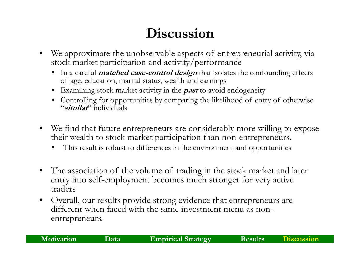# **Discussion**

- • We approximate the unobservable aspects of entrepreneurial activity, via stock market participation and activity/performance
	- In a careful **matched case-control design** that isolates the confounding effects of age, education, marital status, wealth and earnings
	- Examining stock market activity in the **past** to avoid endogeneity
	- Controlling for opportunities by comparing the likelihood of entry of otherwise "**similar**" individuals
- $\bullet$  We find that future entrepreneurs are considerably more willing to expose their wealth to stock market participation than non-entrepreneurs.
	- •This result is robust to differences in the environment and opportunities
- $\bullet$  The association of the volume of trading in the stock market and later entry into self-employment becomes much stronger for very active traders
- $\bullet$  Overall, our results provide strong evidence that entrepreneurs are different when faced with the same investment menu as nonentrepreneurs.